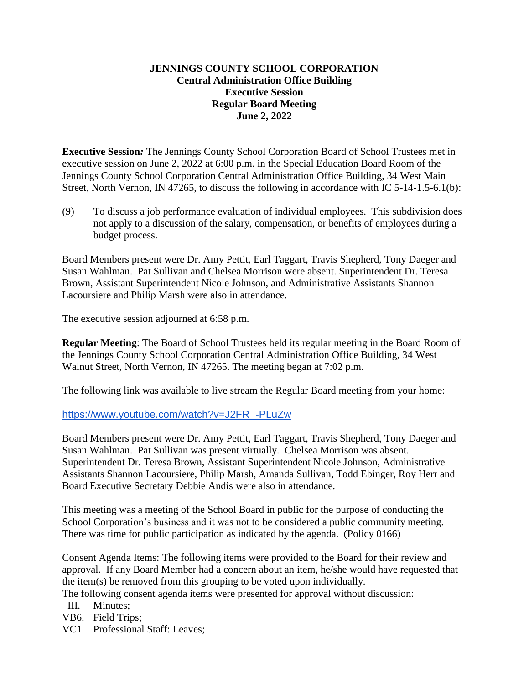## **JENNINGS COUNTY SCHOOL CORPORATION Central Administration Office Building Executive Session Regular Board Meeting June 2, 2022**

**Executive Session***:* The Jennings County School Corporation Board of School Trustees met in executive session on June 2, 2022 at 6:00 p.m. in the Special Education Board Room of the Jennings County School Corporation Central Administration Office Building, 34 West Main Street, North Vernon, IN 47265, to discuss the following in accordance with IC 5-14-1.5-6.1(b):

(9) To discuss a job performance evaluation of individual employees. This subdivision does not apply to a discussion of the salary, compensation, or benefits of employees during a budget process.

Board Members present were Dr. Amy Pettit, Earl Taggart, Travis Shepherd, Tony Daeger and Susan Wahlman. Pat Sullivan and Chelsea Morrison were absent. Superintendent Dr. Teresa Brown, Assistant Superintendent Nicole Johnson, and Administrative Assistants Shannon Lacoursiere and Philip Marsh were also in attendance.

The executive session adjourned at 6:58 p.m.

**Regular Meeting**: The Board of School Trustees held its regular meeting in the Board Room of the Jennings County School Corporation Central Administration Office Building, 34 West Walnut Street, North Vernon, IN 47265. The meeting began at 7:02 p.m.

The following link was available to live stream the Regular Board meeting from your home:

[https://www.youtube.com/watch?v=J2FR\\_-PLuZw](https://www.youtube.com/watch?v=J2FR_-PLuZw)

Board Members present were Dr. Amy Pettit, Earl Taggart, Travis Shepherd, Tony Daeger and Susan Wahlman. Pat Sullivan was present virtually. Chelsea Morrison was absent. Superintendent Dr. Teresa Brown, Assistant Superintendent Nicole Johnson, Administrative Assistants Shannon Lacoursiere, Philip Marsh, Amanda Sullivan, Todd Ebinger, Roy Herr and Board Executive Secretary Debbie Andis were also in attendance.

This meeting was a meeting of the School Board in public for the purpose of conducting the School Corporation's business and it was not to be considered a public community meeting. There was time for public participation as indicated by the agenda. (Policy 0166)

Consent Agenda Items: The following items were provided to the Board for their review and approval. If any Board Member had a concern about an item, he/she would have requested that the item(s) be removed from this grouping to be voted upon individually.

The following consent agenda items were presented for approval without discussion:

- III. Minutes;
- VB6. Field Trips;
- VC1. Professional Staff: Leaves;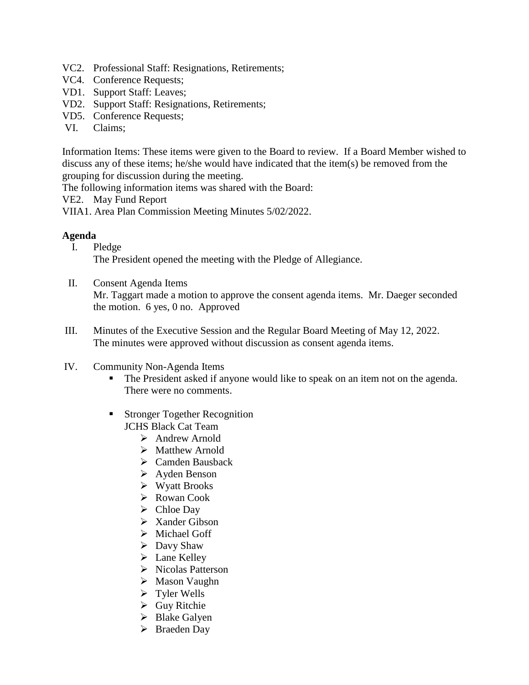- VC2. Professional Staff: Resignations, Retirements;
- VC4. Conference Requests;
- VD1. Support Staff: Leaves;
- VD2. Support Staff: Resignations, Retirements;
- VD5. Conference Requests;
- VI. Claims;

Information Items: These items were given to the Board to review. If a Board Member wished to discuss any of these items; he/she would have indicated that the item(s) be removed from the grouping for discussion during the meeting.

The following information items was shared with the Board:

VE2. May Fund Report

VIIA1. Area Plan Commission Meeting Minutes 5/02/2022.

## **Agenda**

- I. Pledge The President opened the meeting with the Pledge of Allegiance.
- II. Consent Agenda Items Mr. Taggart made a motion to approve the consent agenda items. Mr. Daeger seconded the motion. 6 yes, 0 no. Approved
- III. Minutes of the Executive Session and the Regular Board Meeting of May 12, 2022. The minutes were approved without discussion as consent agenda items.
- IV. Community Non-Agenda Items
	- The President asked if anyone would like to speak on an item not on the agenda. There were no comments.
	- **Stronger Together Recognition** JCHS Black Cat Team
		- $\triangleright$  Andrew Arnold
		- > Matthew Arnold
		- $\triangleright$  Camden Bausback
		- Ayden Benson
		- Wyatt Brooks
		- Rowan Cook
		- $\triangleright$  Chloe Day
		- $\triangleright$  Xander Gibson
		- > Michael Goff
		- $\triangleright$  Davy Shaw
		- $\blacktriangleright$  Lane Kelley
		- $\triangleright$  Nicolas Patterson
		- $\triangleright$  Mason Vaughn
		- $\triangleright$  Tyler Wells
		- Guy Ritchie
		- $\triangleright$  Blake Galyen
		- $\triangleright$  Braeden Day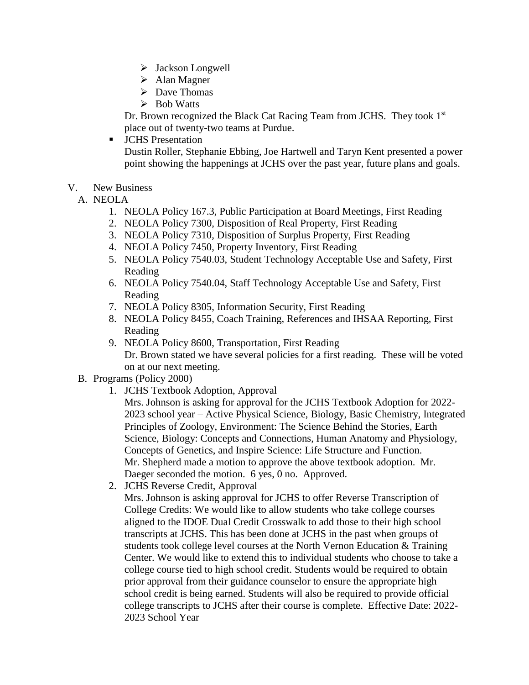- $\triangleright$  Jackson Longwell
- $\triangleright$  Alan Magner
- $\triangleright$  Dave Thomas
- $\triangleright$  Bob Watts

Dr. Brown recognized the Black Cat Racing Team from JCHS. They took 1<sup>st</sup> place out of twenty-two teams at Purdue.

**JCHS** Presentation

Dustin Roller, Stephanie Ebbing, Joe Hartwell and Taryn Kent presented a power point showing the happenings at JCHS over the past year, future plans and goals.

- V. New Business
	- A. NEOLA
		- 1. NEOLA Policy 167.3, Public Participation at Board Meetings, First Reading
		- 2. NEOLA Policy 7300, Disposition of Real Property, First Reading
		- 3. NEOLA Policy 7310, Disposition of Surplus Property, First Reading
		- 4. NEOLA Policy 7450, Property Inventory, First Reading
		- 5. NEOLA Policy 7540.03, Student Technology Acceptable Use and Safety, First Reading
		- 6. NEOLA Policy 7540.04, Staff Technology Acceptable Use and Safety, First Reading
		- 7. NEOLA Policy 8305, Information Security, First Reading
		- 8. NEOLA Policy 8455, Coach Training, References and IHSAA Reporting, First Reading
		- 9. NEOLA Policy 8600, Transportation, First Reading Dr. Brown stated we have several policies for a first reading. These will be voted on at our next meeting.
	- B. Programs (Policy 2000)
		- 1. JCHS Textbook Adoption, Approval

Mrs. Johnson is asking for approval for the JCHS Textbook Adoption for 2022- 2023 school year – Active Physical Science, Biology, Basic Chemistry, Integrated Principles of Zoology, Environment: The Science Behind the Stories, Earth Science, Biology: Concepts and Connections, Human Anatomy and Physiology, Concepts of Genetics, and Inspire Science: Life Structure and Function. Mr. Shepherd made a motion to approve the above textbook adoption. Mr. Daeger seconded the motion. 6 yes, 0 no. Approved.

2. JCHS Reverse Credit, Approval

Mrs. Johnson is asking approval for JCHS to offer Reverse Transcription of College Credits: We would like to allow students who take college courses aligned to the IDOE Dual Credit Crosswalk to add those to their high school transcripts at JCHS. This has been done at JCHS in the past when groups of students took college level courses at the North Vernon Education & Training Center. We would like to extend this to individual students who choose to take a college course tied to high school credit. Students would be required to obtain prior approval from their guidance counselor to ensure the appropriate high school credit is being earned. Students will also be required to provide official college transcripts to JCHS after their course is complete. Effective Date: 2022- 2023 School Year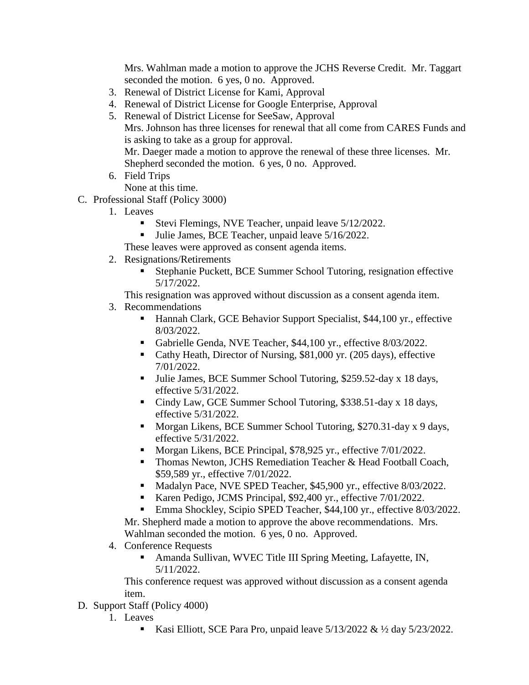Mrs. Wahlman made a motion to approve the JCHS Reverse Credit. Mr. Taggart seconded the motion. 6 yes, 0 no. Approved.

- 3. Renewal of District License for Kami, Approval
- 4. Renewal of District License for Google Enterprise, Approval
- 5. Renewal of District License for SeeSaw, Approval Mrs. Johnson has three licenses for renewal that all come from CARES Funds and is asking to take as a group for approval. Mr. Daeger made a motion to approve the renewal of these three licenses. Mr. Shepherd seconded the motion. 6 yes, 0 no. Approved.
- 6. Field Trips

None at this time.

- C. Professional Staff (Policy 3000)
	- 1. Leaves
		- Stevi Flemings, NVE Teacher, unpaid leave 5/12/2022.
		- Ulie James, BCE Teacher, unpaid leave  $5/16/2022$ .

These leaves were approved as consent agenda items.

- 2. Resignations/Retirements
	- Stephanie Puckett, BCE Summer School Tutoring, resignation effective 5/17/2022.

This resignation was approved without discussion as a consent agenda item.

- 3. Recommendations
	- Hannah Clark, GCE Behavior Support Specialist, \$44,100 yr., effective 8/03/2022.
	- Gabrielle Genda, NVE Teacher, \$44,100 yr., effective 8/03/2022.
	- Cathy Heath, Director of Nursing, \$81,000 yr. (205 days), effective 7/01/2022.
	- Ullie James, BCE Summer School Tutoring, \$259.52-day x 18 days, effective 5/31/2022.
	- Cindy Law, GCE Summer School Tutoring, \$338.51-day x 18 days, effective 5/31/2022.
	- Morgan Likens, BCE Summer School Tutoring, \$270.31-day x 9 days, effective 5/31/2022.
	- Morgan Likens, BCE Principal, \$78,925 yr., effective 7/01/2022.
	- **Thomas Newton, JCHS Remediation Teacher & Head Football Coach,** \$59,589 yr., effective 7/01/2022.
	- Madalyn Pace, NVE SPED Teacher, \$45,900 yr., effective 8/03/2022.
	- Karen Pedigo, JCMS Principal, \$92,400 yr., effective 7/01/2022.
	- Emma Shockley, Scipio SPED Teacher, \$44,100 yr., effective 8/03/2022.

Mr. Shepherd made a motion to approve the above recommendations. Mrs. Wahlman seconded the motion. 6 yes, 0 no. Approved.

- 4. Conference Requests
	- Amanda Sullivan, WVEC Title III Spring Meeting, Lafayette, IN, 5/11/2022.

This conference request was approved without discussion as a consent agenda item.

- D. Support Staff (Policy 4000)
	- 1. Leaves
		- Kasi Elliott, SCE Para Pro, unpaid leave  $5/13/2022 \& 1/2$  day  $5/23/2022$ .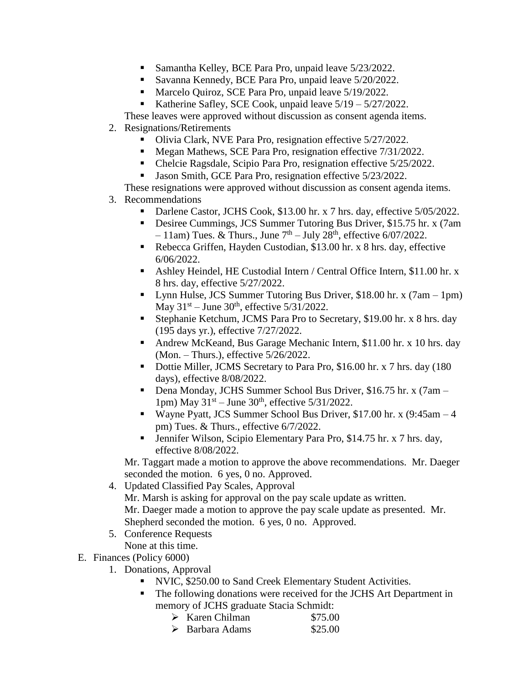- Samantha Kelley, BCE Para Pro, unpaid leave  $5/23/2022$ .
- Savanna Kennedy, BCE Para Pro, unpaid leave  $5/20/2022$ .
- Marcelo Quiroz, SCE Para Pro, unpaid leave 5/19/2022.
- Katherine Safley, SCE Cook, unpaid leave 5/19 5/27/2022.
- These leaves were approved without discussion as consent agenda items.
- 2. Resignations/Retirements
	- Olivia Clark, NVE Para Pro, resignation effective 5/27/2022.
	- Megan Mathews, SCE Para Pro, resignation effective  $7/31/2022$ .
	- Chelcie Ragsdale, Scipio Para Pro, resignation effective 5/25/2022.
	- Jason Smith, GCE Para Pro, resignation effective 5/23/2022.

These resignations were approved without discussion as consent agenda items.

- 3. Recommendations
	- Darlene Castor, JCHS Cook, \$13.00 hr. x 7 hrs. day, effective 5/05/2022.
	- Desiree Cummings, JCS Summer Tutoring Bus Driver, \$15.75 hr. x (7am  $-11$ am) Tues. & Thurs., June  $7<sup>th</sup> - July 28<sup>th</sup>$ , effective 6/07/2022.
	- Rebecca Griffen, Hayden Custodian, \$13.00 hr. x 8 hrs. day, effective 6/06/2022.
	- Ashley Heindel, HE Custodial Intern / Central Office Intern, \$11.00 hr. x 8 hrs. day, effective 5/27/2022.
	- Lynn Hulse, JCS Summer Tutoring Bus Driver, \$18.00 hr. x (7am 1pm) May  $31<sup>st</sup> - June 30<sup>th</sup>$ , effective  $5/31/2022$ .
	- Stephanie Ketchum, JCMS Para Pro to Secretary, \$19.00 hr. x 8 hrs. day (195 days yr.), effective 7/27/2022.
	- Andrew McKeand, Bus Garage Mechanic Intern, \$11.00 hr. x 10 hrs. day (Mon. – Thurs.), effective 5/26/2022.
	- Dottie Miller, JCMS Secretary to Para Pro, \$16.00 hr. x 7 hrs. day (180 days), effective 8/08/2022.
	- Dena Monday, JCHS Summer School Bus Driver, \$16.75 hr. x (7am 1pm) May  $31<sup>st</sup> - June 30<sup>th</sup>$ , effective  $5/31/2022$ .
	- Wayne Pyatt, JCS Summer School Bus Driver, \$17.00 hr. x  $(9:45am 4)$ pm) Tues. & Thurs., effective 6/7/2022.
	- Jennifer Wilson, Scipio Elementary Para Pro, \$14.75 hr. x 7 hrs. day, effective 8/08/2022.

Mr. Taggart made a motion to approve the above recommendations. Mr. Daeger seconded the motion. 6 yes, 0 no. Approved.

4. Updated Classified Pay Scales, Approval

Mr. Marsh is asking for approval on the pay scale update as written. Mr. Daeger made a motion to approve the pay scale update as presented. Mr. Shepherd seconded the motion. 6 yes, 0 no. Approved.

5. Conference Requests None at this time.

- E. Finances (Policy 6000)
	- 1. Donations, Approval
		- NVIC, \$250.00 to Sand Creek Elementary Student Activities.
		- The following donations were received for the JCHS Art Department in memory of JCHS graduate Stacia Schmidt:
			- $\triangleright$  Karen Chilman \$75.00
			- $\triangleright$  Barbara Adams \$25.00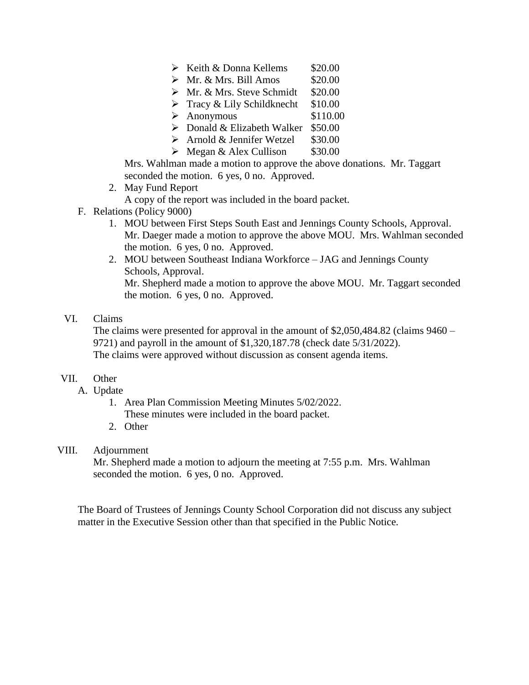- $\triangleright$  Keith & Donna Kellems \$20.00
- $\triangleright$  Mr. & Mrs. Bill Amos \$20.00
- $\triangleright$  Mr. & Mrs. Steve Schmidt \$20.00
- $\triangleright$  Tracy & Lily Schildknecht \$10.00
- $\geqslant$  Anonymous \$110.00
- $\triangleright$  Donald & Elizabeth Walker \$50.00
- $\triangleright$  Arnold & Jennifer Wetzel \$30.00
- $\triangleright$  Megan & Alex Cullison \$30.00

Mrs. Wahlman made a motion to approve the above donations. Mr. Taggart seconded the motion. 6 yes, 0 no. Approved.

2. May Fund Report

A copy of the report was included in the board packet.

- F. Relations (Policy 9000)
	- 1. MOU between First Steps South East and Jennings County Schools, Approval. Mr. Daeger made a motion to approve the above MOU. Mrs. Wahlman seconded the motion. 6 yes, 0 no. Approved.
	- 2. MOU between Southeast Indiana Workforce JAG and Jennings County Schools, Approval.

Mr. Shepherd made a motion to approve the above MOU. Mr. Taggart seconded the motion. 6 yes, 0 no. Approved.

## VI. Claims

The claims were presented for approval in the amount of \$2,050,484.82 (claims 9460 – 9721) and payroll in the amount of \$1,320,187.78 (check date 5/31/2022). The claims were approved without discussion as consent agenda items.

#### VII. Other

- A. Update
	- 1. Area Plan Commission Meeting Minutes 5/02/2022. These minutes were included in the board packet.
	- 2. Other

### VIII. Adjournment

Mr. Shepherd made a motion to adjourn the meeting at 7:55 p.m. Mrs. Wahlman seconded the motion. 6 yes, 0 no. Approved.

The Board of Trustees of Jennings County School Corporation did not discuss any subject matter in the Executive Session other than that specified in the Public Notice.